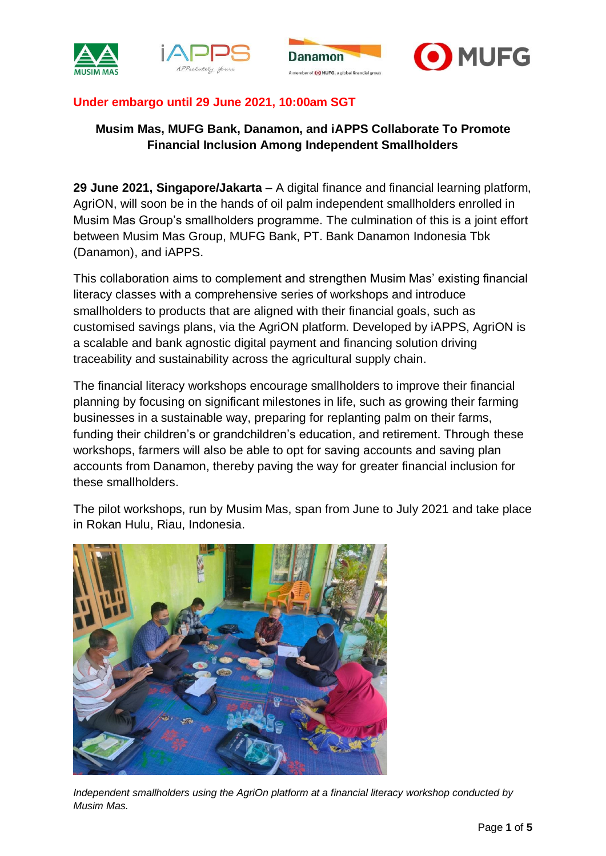





# **Under embargo until 29 June 2021, 10:00am SGT**

# **Musim Mas, MUFG Bank, Danamon, and iAPPS Collaborate To Promote Financial Inclusion Among Independent Smallholders**

**29 June 2021, Singapore/Jakarta** – A digital finance and financial learning platform, AgriON, will soon be in the hands of oil palm independent smallholders enrolled in Musim Mas Group's smallholders programme. The culmination of this is a joint effort between Musim Mas Group, MUFG Bank, PT. Bank Danamon Indonesia Tbk (Danamon), and iAPPS.

This collaboration aims to complement and strengthen Musim Mas' existing financial literacy classes with a comprehensive series of workshops and introduce smallholders to products that are aligned with their financial goals, such as customised savings plans, via the AgriON platform. Developed by iAPPS, AgriON is a scalable and bank agnostic digital payment and financing solution driving traceability and sustainability across the agricultural supply chain.

The financial literacy workshops encourage smallholders to improve their financial planning by focusing on significant milestones in life, such as growing their farming businesses in a sustainable way, preparing for replanting palm on their farms, funding their children's or grandchildren's education, and retirement. Through these workshops, farmers will also be able to opt for saving accounts and saving plan accounts from Danamon, thereby paving the way for greater financial inclusion for these smallholders.

The pilot workshops, run by Musim Mas, span from June to July 2021 and take place in Rokan Hulu, Riau, Indonesia.



*Independent smallholders using the AgriOn platform at a financial literacy workshop conducted by Musim Mas.*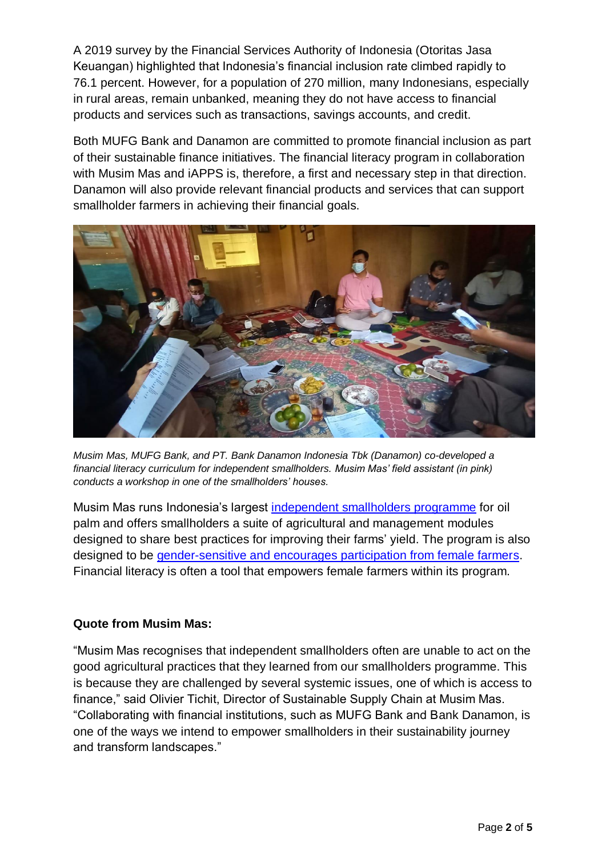A 2019 survey by the Financial Services Authority of Indonesia (Otoritas Jasa Keuangan) highlighted that Indonesia's financial inclusion rate climbed rapidly to 76.1 percent. However, for a population of 270 million, many Indonesians, especially in rural areas, remain unbanked, meaning they do not have access to financial products and services such as transactions, savings accounts, and credit.

Both MUFG Bank and Danamon are committed to promote financial inclusion as part of their sustainable finance initiatives. The financial literacy program in collaboration with Musim Mas and iAPPS is, therefore, a first and necessary step in that direction. Danamon will also provide relevant financial products and services that can support smallholder farmers in achieving their financial goals.



*Musim Mas, MUFG Bank, and PT. Bank Danamon Indonesia Tbk (Danamon) co-developed a financial literacy curriculum for independent smallholders. Musim Mas' field assistant (in pink) conducts a workshop in one of the smallholders' houses.* 

Musim Mas runs Indonesia's largest [independent smallholders programm](https://www.musimmas.com/sustainability/smallholders/)e for oil palm and offers smallholders a suite of agricultural and management modules designed to share best practices for improving their farms' yield. The program is also designed to be [gender-sensitive and encourages participation from female farmers.](https://www.musimmas.com/wp-content/uploads/2021/03/MM-IFC-Smallholders-Program-Report.pdf) Financial literacy is often a tool that empowers female farmers within its program.

## **Quote from Musim Mas:**

"Musim Mas recognises that independent smallholders often are unable to act on the good agricultural practices that they learned from our smallholders programme. This is because they are challenged by several systemic issues, one of which is access to finance," said Olivier Tichit, Director of Sustainable Supply Chain at Musim Mas. "Collaborating with financial institutions, such as MUFG Bank and Bank Danamon, is one of the ways we intend to empower smallholders in their sustainability journey and transform landscapes."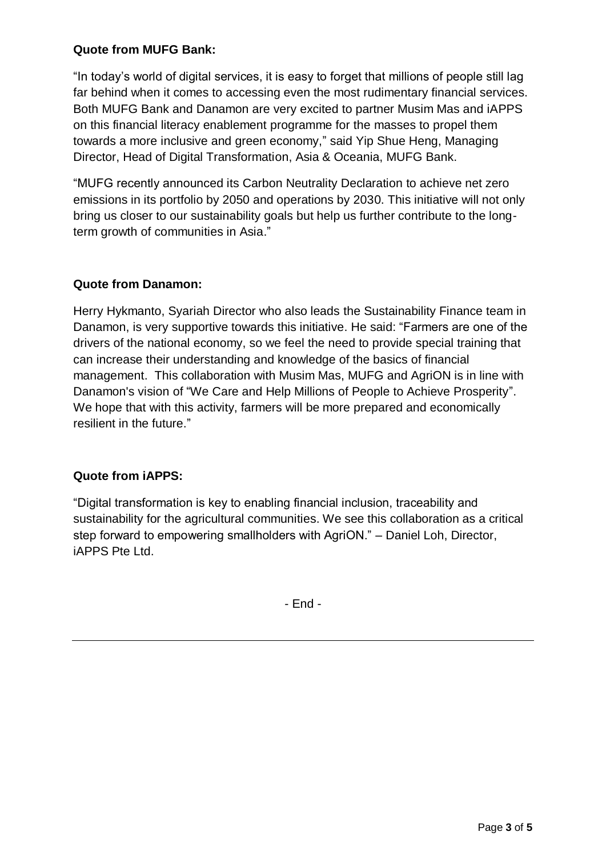## **Quote from MUFG Bank:**

"In today's world of digital services, it is easy to forget that millions of people still lag far behind when it comes to accessing even the most rudimentary financial services. Both MUFG Bank and Danamon are very excited to partner Musim Mas and iAPPS on this financial literacy enablement programme for the masses to propel them towards a more inclusive and green economy," said Yip Shue Heng, Managing Director, Head of Digital Transformation, Asia & Oceania, MUFG Bank.

"MUFG recently announced its Carbon Neutrality Declaration to achieve net zero emissions in its portfolio by 2050 and operations by 2030. This initiative will not only bring us closer to our sustainability goals but help us further contribute to the longterm growth of communities in Asia."

# **Quote from Danamon:**

Herry Hykmanto, Syariah Director who also leads the Sustainability Finance team in Danamon, is very supportive towards this initiative. He said: "Farmers are one of the drivers of the national economy, so we feel the need to provide special training that can increase their understanding and knowledge of the basics of financial management. This collaboration with Musim Mas, MUFG and AgriON is in line with Danamon's vision of "We Care and Help Millions of People to Achieve Prosperity". We hope that with this activity, farmers will be more prepared and economically resilient in the future."

## **Quote from iAPPS:**

"Digital transformation is key to enabling financial inclusion, traceability and sustainability for the agricultural communities. We see this collaboration as a critical step forward to empowering smallholders with AgriON." – Daniel Loh, Director, iAPPS Pte Ltd.

- End -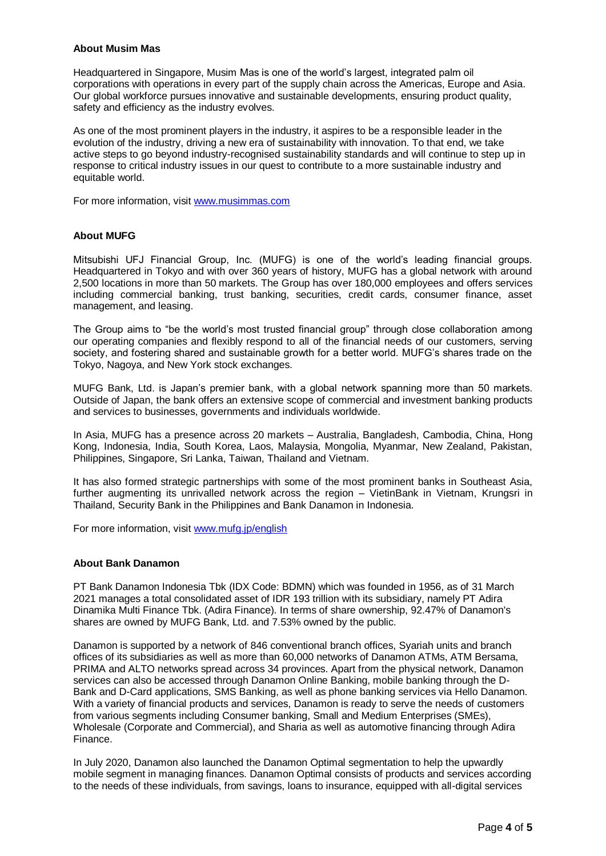#### **About Musim Mas**

Headquartered in Singapore, Musim Mas is one of the world's largest, integrated palm oil corporations with operations in every part of the supply chain across the Americas, Europe and Asia. Our global workforce pursues innovative and sustainable developments, ensuring product quality, safety and efficiency as the industry evolves.

As one of the most prominent players in the industry, it aspires to be a responsible leader in the evolution of the industry, driving a new era of sustainability with innovation. To that end, we take active steps to go beyond industry-recognised sustainability standards and will continue to step up in response to critical industry issues in our quest to contribute to a more sustainable industry and equitable world.

For more information, visit [www.musimmas.com](http://www.musimmas.com/)

#### **About MUFG**

Mitsubishi UFJ Financial Group, Inc. (MUFG) is one of the world's leading financial groups. Headquartered in Tokyo and with over 360 years of history, MUFG has a global network with around 2,500 locations in more than 50 markets. The Group has over 180,000 employees and offers services including commercial banking, trust banking, securities, credit cards, consumer finance, asset management, and leasing.

The Group aims to "be the world's most trusted financial group" through close collaboration among our operating companies and flexibly respond to all of the financial needs of our customers, serving society, and fostering shared and sustainable growth for a better world. MUFG's shares trade on the Tokyo, Nagoya, and New York stock exchanges.

MUFG Bank, Ltd. is Japan's premier bank, with a global network spanning more than 50 markets. Outside of Japan, the bank offers an extensive scope of commercial and investment banking products and services to businesses, governments and individuals worldwide.

In Asia, MUFG has a presence across 20 markets – Australia, Bangladesh, Cambodia, China, Hong Kong, Indonesia, India, South Korea, Laos, Malaysia, Mongolia, Myanmar, New Zealand, Pakistan, Philippines, Singapore, Sri Lanka, Taiwan, Thailand and Vietnam.

It has also formed strategic partnerships with some of the most prominent banks in Southeast Asia, further augmenting its unrivalled network across the region – VietinBank in Vietnam, Krungsri in Thailand, Security Bank in the Philippines and Bank Danamon in Indonesia.

For more information, visit [www.mufg.jp/english](http://www.mufg.jp/english)

### **About Bank Danamon**

PT Bank Danamon Indonesia Tbk (IDX Code: BDMN) which was founded in 1956, as of 31 March 2021 manages a total consolidated asset of IDR 193 trillion with its subsidiary, namely PT Adira Dinamika Multi Finance Tbk. (Adira Finance). In terms of share ownership, 92.47% of Danamon's shares are owned by MUFG Bank, Ltd. and 7.53% owned by the public.

Danamon is supported by a network of 846 conventional branch offices, Syariah units and branch offices of its subsidiaries as well as more than 60,000 networks of Danamon ATMs, ATM Bersama, PRIMA and ALTO networks spread across 34 provinces. Apart from the physical network, Danamon services can also be accessed through Danamon Online Banking, mobile banking through the D-Bank and D-Card applications, SMS Banking, as well as phone banking services via Hello Danamon. With a variety of financial products and services, Danamon is ready to serve the needs of customers from various segments including Consumer banking, Small and Medium Enterprises (SMEs), Wholesale (Corporate and Commercial), and Sharia as well as automotive financing through Adira Finance.

In July 2020, Danamon also launched the Danamon Optimal segmentation to help the upwardly mobile segment in managing finances. Danamon Optimal consists of products and services according to the needs of these individuals, from savings, loans to insurance, equipped with all-digital services